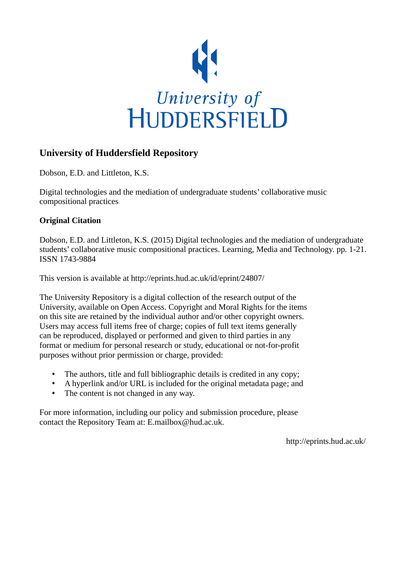

# **University of Huddersfield Repository**

Dobson, E.D. and Littleton, K.S.

Digital technologies and the mediation of undergraduate students' collaborative music compositional practices

## **Original Citation**

Dobson, E.D. and Littleton, K.S. (2015) Digital technologies and the mediation of undergraduate students' collaborative music compositional practices. Learning, Media and Technology. pp. 1-21. ISSN 1743-9884

This version is available at http://eprints.hud.ac.uk/id/eprint/24807/

The University Repository is a digital collection of the research output of the University, available on Open Access. Copyright and Moral Rights for the items on this site are retained by the individual author and/or other copyright owners. Users may access full items free of charge; copies of full text items generally can be reproduced, displayed or performed and given to third parties in any format or medium for personal research or study, educational or not-for-profit purposes without prior permission or charge, provided:

- The authors, title and full bibliographic details is credited in any copy;
- A hyperlink and/or URL is included for the original metadata page; and
- The content is not changed in any way.

For more information, including our policy and submission procedure, please contact the Repository Team at: E.mailbox@hud.ac.uk.

http://eprints.hud.ac.uk/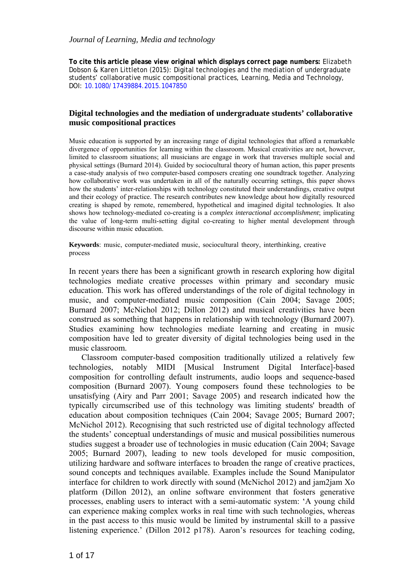**To cite this article please view original which displays correct page numbers:** Elizabeth Dobson & Karen Littleton (2015): Digital technologies and the mediation of undergraduate students' collaborative music compositional practices, Learning, Media and Technology, DOI: 10.1080/17439884.2015.1047850

#### **Digital technologies and the mediation of undergraduate students' collaborative music compositional practices**

Music education is supported by an increasing range of digital technologies that afford a remarkable divergence of opportunities for learning within the classroom. Musical creativities are not, however, limited to classroom situations; all musicians are engage in work that traverses multiple social and physical settings (Burnard 2014). Guided by sociocultural theory of human action, this paper presents a case-study analysis of two computer-based composers creating one soundtrack together. Analyzing how collaborative work was undertaken in all of the naturally occurring settings, this paper shows how the students' inter-relationships with technology constituted their understandings, creative output and their ecology of practice. The research contributes new knowledge about how digitally resourced creating is shaped by remote, remembered, hypothetical and imagined digital technologies. It also shows how technology-mediated co-creating is a *complex interactional accomplishment*; implicating the value of long-term multi-setting digital co-creating to higher mental development through discourse within music education.

**Keywords**: music, computer-mediated music, sociocultural theory, interthinking, creative process

In recent years there has been a significant growth in research exploring how digital technologies mediate creative processes within primary and secondary music education. This work has offered understandings of the role of digital technology in music, and computer-mediated music composition (Cain 2004; Savage 2005; Burnard 2007; McNichol 2012; Dillon 2012) and musical creativities have been construed as something that happens in relationship with technology (Burnard 2007). Studies examining how technologies mediate learning and creating in music composition have led to greater diversity of digital technologies being used in the music classroom.

 Classroom computer-based composition traditionally utilized a relatively few technologies, notably MIDI [Musical Instrument Digital Interface]-based composition for controlling default instruments, audio loops and sequence-based composition (Burnard 2007). Young composers found these technologies to be unsatisfying (Airy and Parr 2001; Savage 2005) and research indicated how the typically circumscribed use of this technology was limiting students' breadth of education about composition techniques (Cain 2004; Savage 2005; Burnard 2007; McNichol 2012). Recognising that such restricted use of digital technology affected the students' conceptual understandings of music and musical possibilities numerous studies suggest a broader use of technologies in music education (Cain 2004; Savage 2005; Burnard 2007), leading to new tools developed for music composition, utilizing hardware and software interfaces to broaden the range of creative practices, sound concepts and techniques available. Examples include the Sound Manipulator interface for children to work directly with sound (McNichol 2012) and jam2jam Xo platform (Dillon 2012), an online software environment that fosters generative processes, enabling users to interact with a semi-automatic system: 'A young child can experience making complex works in real time with such technologies, whereas in the past access to this music would be limited by instrumental skill to a passive listening experience.' (Dillon 2012 p178). Aaron's resources for teaching coding,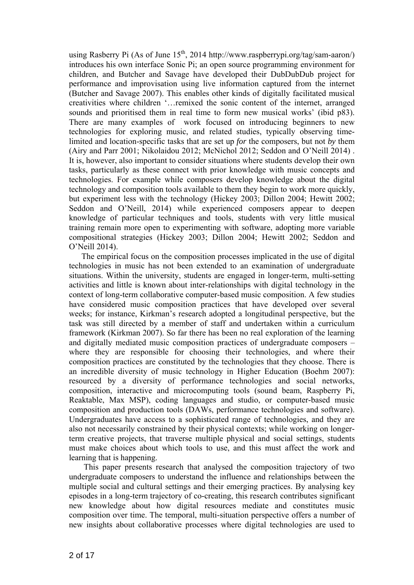using Rasberry Pi (As of June  $15<sup>th</sup>$ , 2014 http://www.raspberrypi.org/tag/sam-aaron/) introduces his own interface Sonic Pi; an open source programming environment for children, and Butcher and Savage have developed their DubDubDub project for performance and improvisation using live information captured from the internet (Butcher and Savage 2007). This enables other kinds of digitally facilitated musical creativities where children '…remixed the sonic content of the internet, arranged sounds and prioritised them in real time to form new musical works' (ibid p83). There are many examples of work focused on introducing beginners to new technologies for exploring music, and related studies, typically observing timelimited and location-specific tasks that are set up *for* the composers, but not *by* them (Airy and Parr 2001; Nikolaidou 2012; McNichol 2012; Seddon and O'Neill 2014) . It is, however, also important to consider situations where students develop their own tasks, particularly as these connect with prior knowledge with music concepts and technologies. For example while composers develop knowledge about the digital technology and composition tools available to them they begin to work more quickly, but experiment less with the technology (Hickey 2003; Dillon 2004; Hewitt 2002; Seddon and O'Neill, 2014) while experienced composers appear to deepen knowledge of particular techniques and tools, students with very little musical training remain more open to experimenting with software, adopting more variable compositional strategies (Hickey 2003; Dillon 2004; Hewitt 2002; Seddon and O'Neill 2014).

 The empirical focus on the composition processes implicated in the use of digital technologies in music has not been extended to an examination of undergraduate situations. Within the university, students are engaged in longer-term, multi-setting activities and little is known about inter-relationships with digital technology in the context of long-term collaborative computer-based music composition. A few studies have considered music composition practices that have developed over several weeks; for instance, Kirkman's research adopted a longitudinal perspective, but the task was still directed by a member of staff and undertaken within a curriculum framework (Kirkman 2007). So far there has been no real exploration of the learning and digitally mediated music composition practices of undergraduate composers – where they are responsible for choosing their technologies, and where their composition practices are constituted by the technologies that they choose. There is an incredible diversity of music technology in Higher Education (Boehm 2007): resourced by a diversity of performance technologies and social networks, composition, interactive and microcomputing tools (sound beam, Raspberry Pi, Reaktable, Max MSP), coding languages and studio, or computer-based music composition and production tools (DAWs, performance technologies and software). Undergraduates have access to a sophisticated range of technologies, and they are also not necessarily constrained by their physical contexts; while working on longerterm creative projects, that traverse multiple physical and social settings, students must make choices about which tools to use, and this must affect the work and learning that is happening.

 This paper presents research that analysed the composition trajectory of two undergraduate composers to understand the influence and relationships between the multiple social and cultural settings and their emerging practices. By analysing key episodes in a long-term trajectory of co-creating, this research contributes significant new knowledge about how digital resources mediate and constitutes music composition over time. The temporal, multi-situation perspective offers a number of new insights about collaborative processes where digital technologies are used to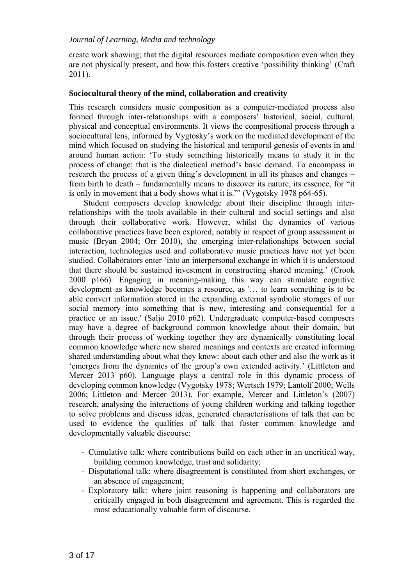create work showing; that the digital resources mediate composition even when they are not physically present, and how this fosters creative 'possibility thinking' (Craft 2011).

#### **Sociocultural theory of the mind, collaboration and creativity**

This research considers music composition as a computer-mediated process also formed through inter-relationships with a composers' historical, social, cultural, physical and conceptual environments. It views the compositional process through a sociocultural lens, informed by Vygtosky's work on the mediated development of the mind which focused on studying the historical and temporal genesis of events in and around human action: 'To study something historically means to study it in the process of change; that is the dialectical method's basic demand. To encompass in research the process of a given thing's development in all its phases and changes – from birth to death – fundamentally means to discover its nature, its essence, for "it is only in movement that a body shows what it is."' (Vygotsky 1978 p64-65).

Student composers develop knowledge about their discipline through interrelationships with the tools available in their cultural and social settings and also through their collaborative work. However, whilst the dynamics of various collaborative practices have been explored, notably in respect of group assessment in music (Bryan 2004; Orr 2010), the emerging inter-relationships between social interaction, technologies used and collaborative music practices have not yet been studied. Collaborators enter 'into an interpersonal exchange in which it is understood that there should be sustained investment in constructing shared meaning.' (Crook 2000 p166). Engaging in meaning-making this way can stimulate cognitive development as knowledge becomes a resource, as '… to learn something is to be able convert information stored in the expanding external symbolic storages of our social memory into something that is new, interesting and consequential for a practice or an issue.' (Saljo 2010 p62). Undergraduate computer-based composers may have a degree of background common knowledge about their domain, but through their process of working together they are dynamically constituting local common knowledge where new shared meanings and contexts are created informing shared understanding about what they know: about each other and also the work as it 'emerges from the dynamics of the group's own extended activity.' (Littleton and Mercer 2013 p60). Language plays a central role in this dynamic process of developing common knowledge (Vygotsky 1978; Wertsch 1979; Lantolf 2000; Wells 2006; Littleton and Mercer 2013). For example, Mercer and Littleton's (2007) research, analysing the interactions of young children working and talking together to solve problems and discuss ideas, generated characterisations of talk that can be used to evidence the qualities of talk that foster common knowledge and developmentally valuable discourse:

- Cumulative talk: where contributions build on each other in an uncritical way, building common knowledge, trust and solidarity;
- Disputational talk: where disagreement is constituted from short exchanges, or an absence of engagement;
- Exploratory talk: where joint reasoning is happening and collaborators are critically engaged in both disagreement and agreement. This is regarded the most educationally valuable form of discourse.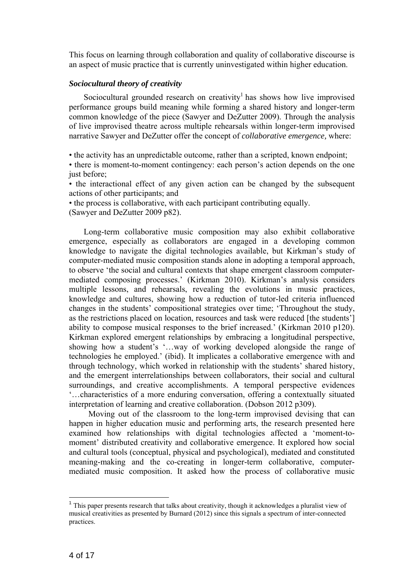This focus on learning through collaboration and quality of collaborative discourse is an aspect of music practice that is currently uninvestigated within higher education.

#### *Sociocultural theory of creativity*

Sociocultural grounded research on creativity<sup>1</sup> has shows how live improvised performance groups build meaning while forming a shared history and longer-term common knowledge of the piece (Sawyer and DeZutter 2009). Through the analysis of live improvised theatre across multiple rehearsals within longer-term improvised narrative Sawyer and DeZutter offer the concept of *collaborative emergence,* where:

• the activity has an unpredictable outcome, rather than a scripted, known endpoint;

• there is moment-to-moment contingency: each person's action depends on the one just before;

• the interactional effect of any given action can be changed by the subsequent actions of other participants; and

• the process is collaborative, with each participant contributing equally. (Sawyer and DeZutter 2009 p82).

Long-term collaborative music composition may also exhibit collaborative emergence, especially as collaborators are engaged in a developing common knowledge to navigate the digital technologies available, but Kirkman's study of computer-mediated music composition stands alone in adopting a temporal approach, to observe 'the social and cultural contexts that shape emergent classroom computermediated composing processes.' (Kirkman 2010). Kirkman's analysis considers multiple lessons, and rehearsals, revealing the evolutions in music practices, knowledge and cultures, showing how a reduction of tutor-led criteria influenced changes in the students' compositional strategies over time; 'Throughout the study, as the restrictions placed on location, resources and task were reduced [the students'] ability to compose musical responses to the brief increased.' (Kirkman 2010 p120). Kirkman explored emergent relationships by embracing a longitudinal perspective, showing how a student's '…way of working developed alongside the range of technologies he employed.' (ibid). It implicates a collaborative emergence with and through technology, which worked in relationship with the students' shared history, and the emergent interrelationships between collaborators, their social and cultural surroundings, and creative accomplishments. A temporal perspective evidences '…characteristics of a more enduring conversation, offering a contextually situated interpretation of learning and creative collaboration. (Dobson 2012 p309).

 Moving out of the classroom to the long-term improvised devising that can happen in higher education music and performing arts, the research presented here examined how relationships with digital technologies affected a 'moment-tomoment' distributed creativity and collaborative emergence. It explored how social and cultural tools (conceptual, physical and psychological), mediated and constituted meaning-making and the co-creating in longer-term collaborative, computermediated music composition. It asked how the process of collaborative music

l

<sup>1</sup> This paper presents research that talks about creativity, though it acknowledges a pluralist view of musical creativities as presented by Burnard (2012) since this signals a spectrum of inter-connected practices.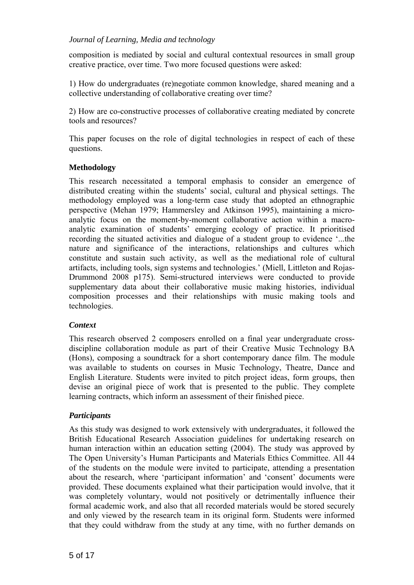composition is mediated by social and cultural contextual resources in small group creative practice, over time. Two more focused questions were asked:

1) How do undergraduates (re)negotiate common knowledge, shared meaning and a collective understanding of collaborative creating over time?

2) How are co-constructive processes of collaborative creating mediated by concrete tools and resources?

This paper focuses on the role of digital technologies in respect of each of these questions.

## **Methodology**

This research necessitated a temporal emphasis to consider an emergence of distributed creating within the students' social, cultural and physical settings. The methodology employed was a long-term case study that adopted an ethnographic perspective (Mehan 1979; Hammersley and Atkinson 1995), maintaining a microanalytic focus on the moment-by-moment collaborative action within a macroanalytic examination of students' emerging ecology of practice. It prioritised recording the situated activities and dialogue of a student group to evidence '...the nature and significance of the interactions, relationships and cultures which constitute and sustain such activity, as well as the mediational role of cultural artifacts, including tools, sign systems and technologies.' (Miell, Littleton and Rojas-Drummond 2008 p175). Semi-structured interviews were conducted to provide supplementary data about their collaborative music making histories, individual composition processes and their relationships with music making tools and technologies.

## *Context*

This research observed 2 composers enrolled on a final year undergraduate crossdiscipline collaboration module as part of their Creative Music Technology BA (Hons), composing a soundtrack for a short contemporary dance film. The module was available to students on courses in Music Technology, Theatre, Dance and English Literature. Students were invited to pitch project ideas, form groups, then devise an original piece of work that is presented to the public. They complete learning contracts, which inform an assessment of their finished piece.

## *Participants*

As this study was designed to work extensively with undergraduates, it followed the British Educational Research Association guidelines for undertaking research on human interaction within an education setting (2004). The study was approved by The Open University's Human Participants and Materials Ethics Committee. All 44 of the students on the module were invited to participate, attending a presentation about the research, where 'participant information' and 'consent' documents were provided. These documents explained what their participation would involve, that it was completely voluntary, would not positively or detrimentally influence their formal academic work, and also that all recorded materials would be stored securely and only viewed by the research team in its original form. Students were informed that they could withdraw from the study at any time, with no further demands on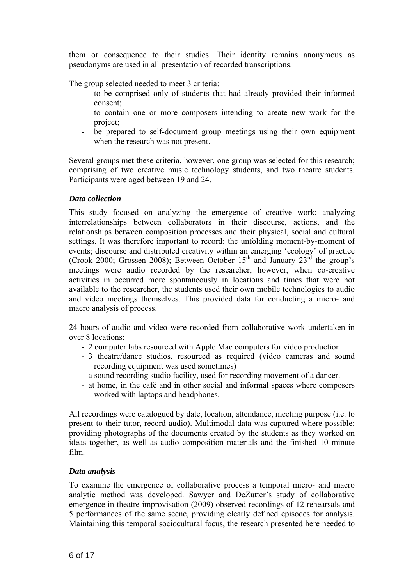them or consequence to their studies. Their identity remains anonymous as pseudonyms are used in all presentation of recorded transcriptions.

The group selected needed to meet 3 criteria:

- to be comprised only of students that had already provided their informed consent;
- to contain one or more composers intending to create new work for the project;
- be prepared to self-document group meetings using their own equipment when the research was not present.

Several groups met these criteria, however, one group was selected for this research; comprising of two creative music technology students, and two theatre students. Participants were aged between 19 and 24.

## *Data collection*

This study focused on analyzing the emergence of creative work; analyzing interrelationships between collaborators in their discourse, actions, and the relationships between composition processes and their physical, social and cultural settings. It was therefore important to record: the unfolding moment-by-moment of events; discourse and distributed creativity within an emerging 'ecology' of practice (Crook 2000; Grossen 2008); Between October  $15<sup>th</sup>$  and January  $23<sup>rd</sup>$  the group's meetings were audio recorded by the researcher, however, when co-creative activities in occurred more spontaneously in locations and times that were not available to the researcher, the students used their own mobile technologies to audio and video meetings themselves. This provided data for conducting a micro- and macro analysis of process.

24 hours of audio and video were recorded from collaborative work undertaken in over 8 locations:

- 2 computer labs resourced with Apple Mac computers for video production
- 3 theatre/dance studios, resourced as required (video cameras and sound recording equipment was used sometimes)
- a sound recording studio facility, used for recording movement of a dancer.
- at home, in the café and in other social and informal spaces where composers worked with laptops and headphones.

All recordings were catalogued by date, location, attendance, meeting purpose (i.e. to present to their tutor, record audio). Multimodal data was captured where possible: providing photographs of the documents created by the students as they worked on ideas together, as well as audio composition materials and the finished 10 minute film.

### *Data analysis*

To examine the emergence of collaborative process a temporal micro- and macro analytic method was developed. Sawyer and DeZutter's study of collaborative emergence in theatre improvisation (2009) observed recordings of 12 rehearsals and 5 performances of the same scene, providing clearly defined episodes for analysis. Maintaining this temporal sociocultural focus, the research presented here needed to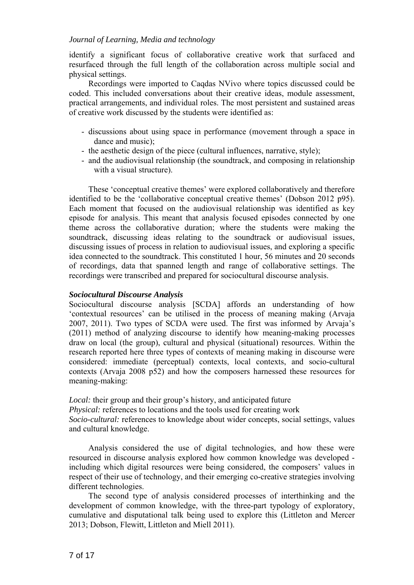identify a significant focus of collaborative creative work that surfaced and resurfaced through the full length of the collaboration across multiple social and physical settings.

 Recordings were imported to Caqdas NVivo where topics discussed could be coded. This included conversations about their creative ideas, module assessment, practical arrangements, and individual roles. The most persistent and sustained areas of creative work discussed by the students were identified as:

- discussions about using space in performance (movement through a space in dance and music);
- the aesthetic design of the piece (cultural influences, narrative, style);
- and the audiovisual relationship (the soundtrack, and composing in relationship with a visual structure).

 These 'conceptual creative themes' were explored collaboratively and therefore identified to be the 'collaborative conceptual creative themes' (Dobson 2012 p95). Each moment that focused on the audiovisual relationship was identified as key episode for analysis. This meant that analysis focused episodes connected by one theme across the collaborative duration; where the students were making the soundtrack, discussing ideas relating to the soundtrack or audiovisual issues, discussing issues of process in relation to audiovisual issues, and exploring a specific idea connected to the soundtrack. This constituted 1 hour, 56 minutes and 20 seconds of recordings, data that spanned length and range of collaborative settings. The recordings were transcribed and prepared for sociocultural discourse analysis.

### *Sociocultural Discourse Analysis*

Sociocultural discourse analysis [SCDA] affords an understanding of how 'contextual resources' can be utilised in the process of meaning making (Arvaja 2007, 2011). Two types of SCDA were used. The first was informed by Arvaja's (2011) method of analyzing discourse to identify how meaning-making processes draw on local (the group), cultural and physical (situational) resources. Within the research reported here three types of contexts of meaning making in discourse were considered: immediate (perceptual) contexts, local contexts, and socio-cultural contexts (Arvaja 2008 p52) and how the composers harnessed these resources for meaning-making:

*Local:* their group and their group's history, and anticipated future *Physical:* references to locations and the tools used for creating work *Socio-cultural:* references to knowledge about wider concepts, social settings, values and cultural knowledge.

 Analysis considered the use of digital technologies, and how these were resourced in discourse analysis explored how common knowledge was developed including which digital resources were being considered, the composers' values in respect of their use of technology, and their emerging co-creative strategies involving different technologies.

 The second type of analysis considered processes of interthinking and the development of common knowledge, with the three-part typology of exploratory, cumulative and disputational talk being used to explore this (Littleton and Mercer 2013; Dobson, Flewitt, Littleton and Miell 2011).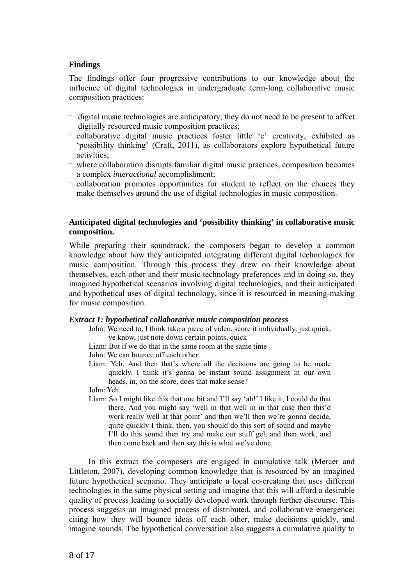## **Findings**

The findings offer four progressive contributions to our knowledge about the influence of digital technologies in undergraduate term-long collaborative music composition practices:

- digital music technologies are anticipatory, they do not need to be present to affect digitally resourced music composition practices;<br>- collaborative digital music practices foster little 'c' creativity, exhibited as
- 'possibility thinking' (Craft, 2011), as collaborators explore hypothetical future activities;
- where collaboration disrupts familiar digital music practices, composition becomes
- a complex *interactional* accomplishment; collaboration promotes opportunities for student to reflect on the choices they make themselves around the use of digital technologies in music composition.

### **Anticipated digital technologies and 'possibility thinking' in collaborative music composition.**

While preparing their soundtrack, the composers began to develop a common knowledge about how they anticipated integrating different digital technologies for music composition. Through this process they drew on their knowledge about themselves, each other and their music technology preferences and in doing so, they imagined hypothetical scenarios involving digital technologies, and their anticipated and hypothetical uses of digital technology, since it is resourced in meaning-making for music composition.

#### *Extract 1: hypothetical collaborative music composition process*

John: We need to, I think take a piece of video, score it individually, just quick, ye know, just note down certain points, quick

Liam: But if we do that in the same room at the same time

John: We can bounce off each other

Liam: Yeh. And then that's where all the decisions are going to be made quickly. I think it's gonna be instant sound assignment in our own heads, in, on the score, does that make sense?

John: Yeh

Liam: So I might like this that one bit and I'll say 'ah!' I like it, I could do that there. And you might say 'well in that well in in that case then this'd work really well at that point' and then we'll then we're gonna decide, quite quickly I think, then, you should do this sort of sound and maybe I'll do this sound then try and make our stuff gel, and then work, and then come back and then say this is what we've done.

 In this extract the composers are engaged in cumulative talk (Mercer and Littleton, 2007), developing common knowledge that is resourced by an imagined future hypothetical scenario. They anticipate a local co-creating that uses different technologies in the same physical setting and imagine that this will afford a desirable quality of process leading to socially developed work through further discourse. This process suggests an imagined process of distributed, and collaborative emergence; citing how they will bounce ideas off each other, make decisions quickly, and imagine sounds. The hypothetical conversation also suggests a cumulative quality to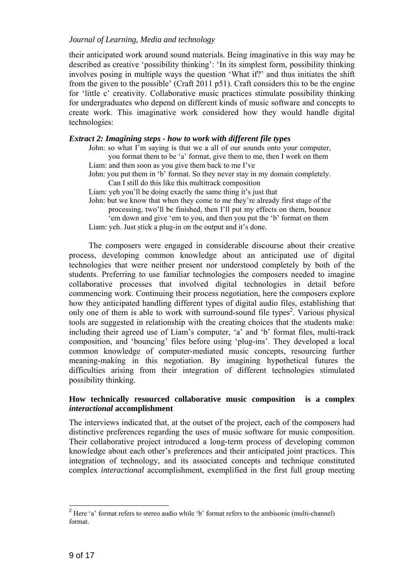their anticipated work around sound materials. Being imaginative in this way may be described as creative 'possibility thinking': 'In its simplest form, possibility thinking involves posing in multiple ways the question 'What if?' and thus initiates the shift from the given to the possible' (Craft 2011 p51). Craft considers this to be the engine for 'little c' creativity. Collaborative music practices stimulate possibility thinking for undergraduates who depend on different kinds of music software and concepts to create work. This imaginative work considered how they would handle digital technologies:

#### *Extract 2: Imagining steps - how to work with different file types*

John: so what I'm saying is that we a all of our sounds onto your computer, you format them to be 'a' format, give them to me, then I work on them

Liam: and then soon as you give them back to me I've

John: you put them in 'b' format. So they never stay in my domain completely. Can I still do this like this multitrack composition

Liam: yeh you'll be doing exactly the same thing it's just that

John: but we know that when they come to me they're already first stage of the

processing, two'll be finished, then I'll put my effects on them, bounce

'em down and give 'em to you, and then you put the 'b' format on them

Liam: yeh. Just stick a plug-in on the output and it's done.

The composers were engaged in considerable discourse about their creative process, developing common knowledge about an anticipated use of digital technologies that were neither present nor understood completely by both of the students. Preferring to use familiar technologies the composers needed to imagine collaborative processes that involved digital technologies in detail before commencing work. Continuing their process negotiation, here the composers explore how they anticipated handling different types of digital audio files, establishing that only one of them is able to work with surround-sound file types<sup>2</sup>. Various physical tools are suggested in relationship with the creating choices that the students make: including their agreed use of Liam's computer, 'a' and 'b' format files, multi-track composition, and 'bouncing' files before using 'plug-ins'. They developed a local common knowledge of computer-mediated music concepts, resourcing further meaning-making in this negotiation. By imagining hypothetical futures the difficulties arising from their integration of different technologies stimulated possibility thinking.

### **How technically resourced collaborative music composition is a complex**  *interactional* **accomplishment**

The interviews indicated that, at the outset of the project, each of the composers had distinctive preferences regarding the uses of music software for music composition. Their collaborative project introduced a long-term process of developing common knowledge about each other's preferences and their anticipated joint practices. This integration of technology, and its associated concepts and technique constituted complex *interactional* accomplishment, exemplified in the first full group meeting

l

<sup>&</sup>lt;sup>2</sup> Here 'a' format refers to stereo audio while 'b' format refers to the ambisonic (multi-channel) format.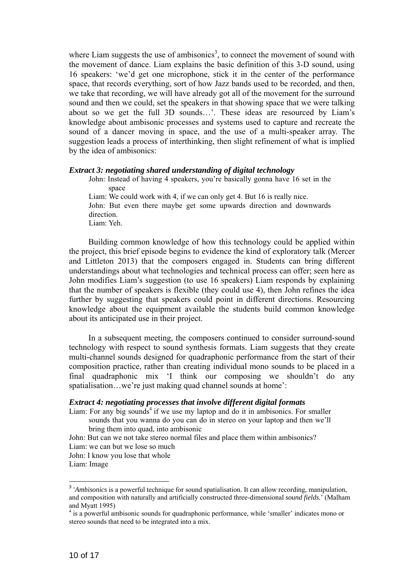where Liam suggests the use of ambisonics<sup>3</sup>, to connect the movement of sound with the movement of dance. Liam explains the basic definition of this 3-D sound, using 16 speakers: 'we'd get one microphone, stick it in the center of the performance space, that records everything, sort of how Jazz bands used to be recorded, and then, we take that recording, we will have already got all of the movement for the surround sound and then we could, set the speakers in that showing space that we were talking about so we get the full 3D sounds…'. These ideas are resourced by Liam's knowledge about ambisonic processes and systems used to capture and recreate the sound of a dancer moving in space, and the use of a multi-speaker array. The suggestion leads a process of interthinking, then slight refinement of what is implied by the idea of ambisonics:

#### *Extract 3: negotiating shared understanding of digital technology*

John: Instead of having 4 speakers, you're basically gonna have 16 set in the space

Liam: We could work with 4, if we can only get 4. But 16 is really nice. John: But even there maybe get some upwards direction and downwards direction.

Liam: Yeh.

 Building common knowledge of how this technology could be applied within the project, this brief episode begins to evidence the kind of exploratory talk (Mercer and Littleton 2013) that the composers engaged in. Students can bring different understandings about what technologies and technical process can offer; seen here as John modifies Liam's suggestion (to use 16 speakers) Liam responds by explaining that the number of speakers is flexible (they could use 4), then John refines the idea further by suggesting that speakers could point in different directions. Resourcing knowledge about the equipment available the students build common knowledge about its anticipated use in their project.

 In a subsequent meeting, the composers continued to consider surround-sound technology with respect to sound synthesis formats. Liam suggests that they create multi-channel sounds designed for quadraphonic performance from the start of their composition practice, rather than creating individual mono sounds to be placed in a final quadraphonic mix 'I think our composing we shouldn't do any spatialisation...we're just making quad channel sounds at home':

## *Extract 4: negotiating processes that involve different digital formats*

Liam: For any big sounds<sup>4</sup> if we use my laptop and do it in ambisonics. For smaller sounds that you wanna do you can do in stereo on your laptop and then we'll bring them into quad, into ambisonic

John: But can we not take stereo normal files and place them within ambisonics? Liam: we can but we lose so much John: I know you lose that whole

Liam: Image

<sup>&</sup>lt;sup>3</sup> '*Ambisonics* is a powerful technique for sound spatialisation. It can allow recording, manipulation, and composition with naturally and artificially constructed three-dimensional *sound fields.*' (Malham and Myatt 1995)

<sup>&</sup>lt;sup>4</sup> is a powerful ambisonic sounds for quadraphonic performance, while 'smaller' indicates mono or stereo sounds that need to be integrated into a mix.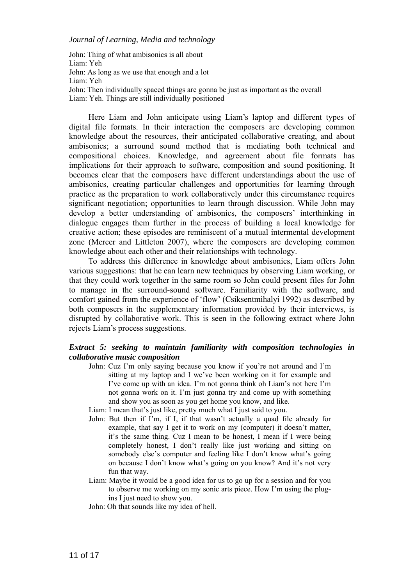John: Thing of what ambisonics is all about Liam: Yeh John: As long as we use that enough and a lot Liam: Yeh John: Then individually spaced things are gonna be just as important as the overall Liam: Yeh. Things are still individually positioned

 Here Liam and John anticipate using Liam's laptop and different types of digital file formats. In their interaction the composers are developing common knowledge about the resources, their anticipated collaborative creating, and about ambisonics; a surround sound method that is mediating both technical and compositional choices. Knowledge, and agreement about file formats has implications for their approach to software, composition and sound positioning. It becomes clear that the composers have different understandings about the use of ambisonics, creating particular challenges and opportunities for learning through practice as the preparation to work collaboratively under this circumstance requires significant negotiation; opportunities to learn through discussion. While John may develop a better understanding of ambisonics, the composers' interthinking in dialogue engages them further in the process of building a local knowledge for creative action; these episodes are reminiscent of a mutual intermental development zone (Mercer and Littleton 2007), where the composers are developing common knowledge about each other and their relationships with technology.

 To address this difference in knowledge about ambisonics, Liam offers John various suggestions: that he can learn new techniques by observing Liam working, or that they could work together in the same room so John could present files for John to manage in the surround-sound software. Familiarity with the software, and comfort gained from the experience of 'flow' (Csiksentmihalyi 1992) as described by both composers in the supplementary information provided by their interviews, is disrupted by collaborative work. This is seen in the following extract where John rejects Liam's process suggestions.

### *Extract 5: seeking to maintain familiarity with composition technologies in collaborative music composition*

- John: Cuz I'm only saying because you know if you're not around and I'm sitting at my laptop and I we've been working on it for example and I've come up with an idea. I'm not gonna think oh Liam's not here I'm not gonna work on it. I'm just gonna try and come up with something and show you as soon as you get home you know, and like.
- Liam: I mean that's just like, pretty much what I just said to you.
- John: But then if I'm, if I, if that wasn't actually a quad file already for example, that say I get it to work on my (computer) it doesn't matter, it's the same thing. Cuz I mean to be honest, I mean if I were being completely honest, I don't really like just working and sitting on somebody else's computer and feeling like I don't know what's going on because I don't know what's going on you know? And it's not very fun that way.
- Liam: Maybe it would be a good idea for us to go up for a session and for you to observe me working on my sonic arts piece. How I'm using the plugins I just need to show you.
- John: Oh that sounds like my idea of hell.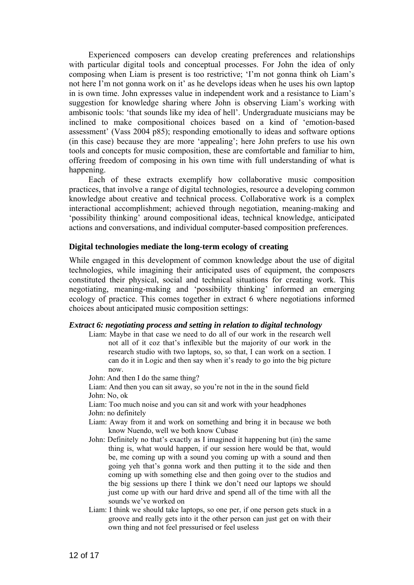Experienced composers can develop creating preferences and relationships with particular digital tools and conceptual processes. For John the idea of only composing when Liam is present is too restrictive; 'I'm not gonna think oh Liam's not here I'm not gonna work on it' as he develops ideas when he uses his own laptop in is own time. John expresses value in independent work and a resistance to Liam's suggestion for knowledge sharing where John is observing Liam's working with ambisonic tools: 'that sounds like my idea of hell'. Undergraduate musicians may be inclined to make compositional choices based on a kind of 'emotion-based assessment' (Vass 2004 p85); responding emotionally to ideas and software options (in this case) because they are more 'appealing'; here John prefers to use his own tools and concepts for music composition, these are comfortable and familiar to him, offering freedom of composing in his own time with full understanding of what is happening.

 Each of these extracts exemplify how collaborative music composition practices, that involve a range of digital technologies, resource a developing common knowledge about creative and technical process. Collaborative work is a complex interactional accomplishment; achieved through negotiation, meaning-making and 'possibility thinking' around compositional ideas, technical knowledge, anticipated actions and conversations, and individual computer-based composition preferences.

### **Digital technologies mediate the long-term ecology of creating**

While engaged in this development of common knowledge about the use of digital technologies, while imagining their anticipated uses of equipment, the composers constituted their physical, social and technical situations for creating work. This negotiating, meaning-making and 'possibility thinking' informed an emerging ecology of practice. This comes together in extract 6 where negotiations informed choices about anticipated music composition settings:

#### *Extract 6: negotiating process and setting in relation to digital technology*

Liam: Maybe in that case we need to do all of our work in the research well not all of it coz that's inflexible but the majority of our work in the research studio with two laptops, so, so that, I can work on a section. I can do it in Logic and then say when it's ready to go into the big picture now.

John: And then I do the same thing?

Liam: And then you can sit away, so you're not in the in the sound field John: No, ok

Liam: Too much noise and you can sit and work with your headphones John: no definitely

- Liam: Away from it and work on something and bring it in because we both know Nuendo, well we both know Cubase
- John: Definitely no that's exactly as I imagined it happening but (in) the same thing is, what would happen, if our session here would be that, would be, me coming up with a sound you coming up with a sound and then going yeh that's gonna work and then putting it to the side and then coming up with something else and then going over to the studios and the big sessions up there I think we don't need our laptops we should just come up with our hard drive and spend all of the time with all the sounds we've worked on
- Liam: I think we should take laptops, so one per, if one person gets stuck in a groove and really gets into it the other person can just get on with their own thing and not feel pressurised or feel useless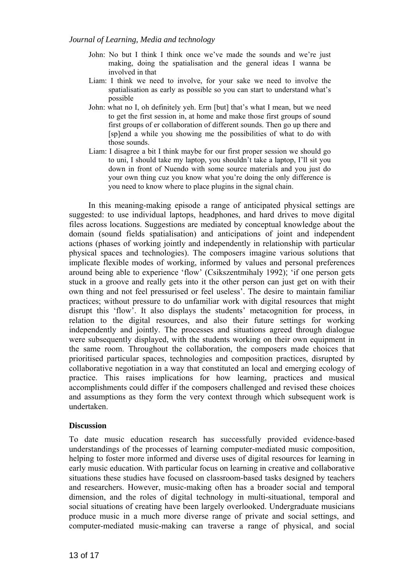- John: No but I think I think once we've made the sounds and we're just making, doing the spatialisation and the general ideas I wanna be involved in that
- Liam: I think we need to involve, for your sake we need to involve the spatialisation as early as possible so you can start to understand what's possible
- John: what no I, oh definitely yeh. Erm [but] that's what I mean, but we need to get the first session in, at home and make those first groups of sound first groups of er collaboration of different sounds. Then go up there and [sp]end a while you showing me the possibilities of what to do with those sounds.
- Liam: I disagree a bit I think maybe for our first proper session we should go to uni, I should take my laptop, you shouldn't take a laptop, I'll sit you down in front of Nuendo with some source materials and you just do your own thing cuz you know what you're doing the only difference is you need to know where to place plugins in the signal chain.

 In this meaning-making episode a range of anticipated physical settings are suggested: to use individual laptops, headphones, and hard drives to move digital files across locations. Suggestions are mediated by conceptual knowledge about the domain (sound fields spatialisation) and anticipations of joint and independent actions (phases of working jointly and independently in relationship with particular physical spaces and technologies). The composers imagine various solutions that implicate flexible modes of working, informed by values and personal preferences around being able to experience 'flow' (Csikszentmihaly 1992); 'if one person gets stuck in a groove and really gets into it the other person can just get on with their own thing and not feel pressurised or feel useless'. The desire to maintain familiar practices; without pressure to do unfamiliar work with digital resources that might disrupt this 'flow'. It also displays the students' metacognition for process, in relation to the digital resources, and also their future settings for working independently and jointly. The processes and situations agreed through dialogue were subsequently displayed, with the students working on their own equipment in the same room. Throughout the collaboration, the composers made choices that prioritised particular spaces, technologies and composition practices, disrupted by collaborative negotiation in a way that constituted an local and emerging ecology of practice. This raises implications for how learning, practices and musical accomplishments could differ if the composers challenged and revised these choices and assumptions as they form the very context through which subsequent work is undertaken.

### **Discussion**

To date music education research has successfully provided evidence-based understandings of the processes of learning computer-mediated music composition, helping to foster more informed and diverse uses of digital resources for learning in early music education. With particular focus on learning in creative and collaborative situations these studies have focused on classroom-based tasks designed by teachers and researchers. However, music-making often has a broader social and temporal dimension, and the roles of digital technology in multi-situational, temporal and social situations of creating have been largely overlooked. Undergraduate musicians produce music in a much more diverse range of private and social settings, and computer-mediated music-making can traverse a range of physical, and social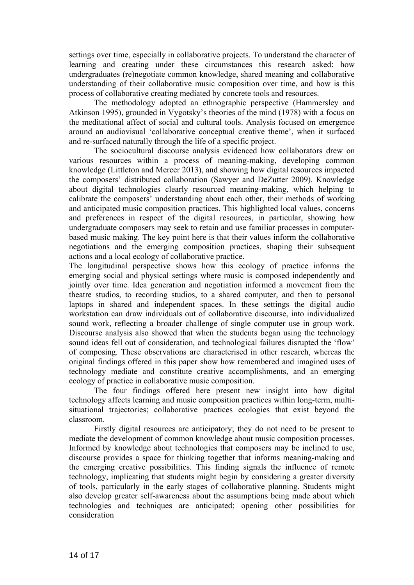settings over time, especially in collaborative projects. To understand the character of learning and creating under these circumstances this research asked: how undergraduates (re)negotiate common knowledge, shared meaning and collaborative understanding of their collaborative music composition over time, and how is this process of collaborative creating mediated by concrete tools and resources.

The methodology adopted an ethnographic perspective (Hammersley and Atkinson 1995), grounded in Vygotsky's theories of the mind (1978) with a focus on the meditational affect of social and cultural tools. Analysis focused on emergence around an audiovisual 'collaborative conceptual creative theme', when it surfaced and re-surfaced naturally through the life of a specific project.

 The sociocultural discourse analysis evidenced how collaborators drew on various resources within a process of meaning-making, developing common knowledge (Littleton and Mercer 2013), and showing how digital resources impacted the composers' distributed collaboration (Sawyer and DeZutter 2009). Knowledge about digital technologies clearly resourced meaning-making, which helping to calibrate the composers' understanding about each other, their methods of working and anticipated music composition practices. This highlighted local values, concerns and preferences in respect of the digital resources, in particular, showing how undergraduate composers may seek to retain and use familiar processes in computerbased music making. The key point here is that their values inform the collaborative negotiations and the emerging composition practices, shaping their subsequent actions and a local ecology of collaborative practice.

The longitudinal perspective shows how this ecology of practice informs the emerging social and physical settings where music is composed independently and jointly over time. Idea generation and negotiation informed a movement from the theatre studios, to recording studios, to a shared computer, and then to personal laptops in shared and independent spaces. In these settings the digital audio workstation can draw individuals out of collaborative discourse, into individualized sound work, reflecting a broader challenge of single computer use in group work. Discourse analysis also showed that when the students began using the technology sound ideas fell out of consideration, and technological failures disrupted the 'flow' of composing. These observations are characterised in other research, whereas the original findings offered in this paper show how remembered and imagined uses of technology mediate and constitute creative accomplishments, and an emerging ecology of practice in collaborative music composition.

The four findings offered here present new insight into how digital technology affects learning and music composition practices within long-term, multisituational trajectories; collaborative practices ecologies that exist beyond the classroom.

Firstly digital resources are anticipatory; they do not need to be present to mediate the development of common knowledge about music composition processes. Informed by knowledge about technologies that composers may be inclined to use, discourse provides a space for thinking together that informs meaning-making and the emerging creative possibilities. This finding signals the influence of remote technology, implicating that students might begin by considering a greater diversity of tools, particularly in the early stages of collaborative planning. Students might also develop greater self-awareness about the assumptions being made about which technologies and techniques are anticipated; opening other possibilities for consideration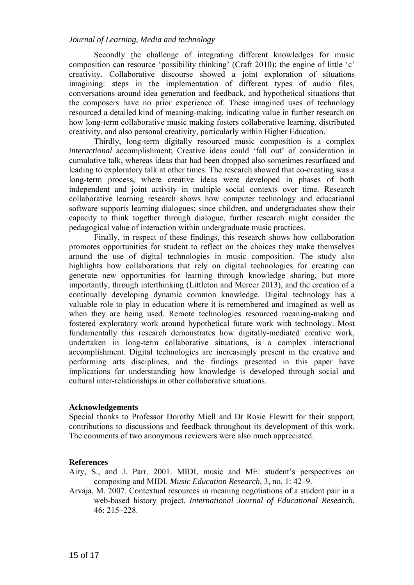Secondly the challenge of integrating different knowledges for music composition can resource 'possibility thinking' (Craft 2010); the engine of little 'c' creativity. Collaborative discourse showed a joint exploration of situations imagining: steps in the implementation of different types of audio files, conversations around idea generation and feedback, and hypothetical situations that the composers have no prior experience of. These imagined uses of technology resourced a detailed kind of meaning-making, indicating value in further research on how long-term collaborative music making fosters collaborative learning, distributed creativity, and also personal creativity, particularly within Higher Education.

Thirdly, long-term digitally resourced music composition is a complex *interactional* accomplishment; Creative ideas could 'fall out' of consideration in cumulative talk, whereas ideas that had been dropped also sometimes resurfaced and leading to exploratory talk at other times. The research showed that co-creating was a long-term process, where creative ideas were developed in phases of both independent and joint activity in multiple social contexts over time. Research collaborative learning research shows how computer technology and educational software supports learning dialogues; since children, and undergraduates show their capacity to think together through dialogue, further research might consider the pedagogical value of interaction within undergraduate music practices.

 Finally, in respect of these findings, this research shows how collaboration promotes opportunities for student to reflect on the choices they make themselves around the use of digital technologies in music composition. The study also highlights how collaborations that rely on digital technologies for creating can generate new opportunities for learning through knowledge sharing, but more importantly, through interthinking (Littleton and Mercer 2013), and the creation of a continually developing dynamic common knowledge. Digital technology has a valuable role to play in education where it is remembered and imagined as well as when they are being used. Remote technologies resourced meaning-making and fostered exploratory work around hypothetical future work with technology. Most fundamentally this research demonstrates how digitally-mediated creative work, undertaken in long-term collaborative situations, is a complex interactional accomplishment. Digital technologies are increasingly present in the creative and performing arts disciplines, and the findings presented in this paper have implications for understanding how knowledge is developed through social and cultural inter-relationships in other collaborative situations.

### **Acknowledgements**

Special thanks to Professor Dorothy Miell and Dr Rosie Flewitt for their support, contributions to discussions and feedback throughout its development of this work. The comments of two anonymous reviewers were also much appreciated.

## **References**

- Airy, S., and J. Parr. 2001. MIDI, music and ME: student's perspectives on composing and MIDI. *Music Education Research,* 3, no. 1: 42–9.
- Arvaja, M. 2007. Contextual resources in meaning negotiations of a student pair in a web-based history project. *International Journal of Educational Research.* 46: 215–228.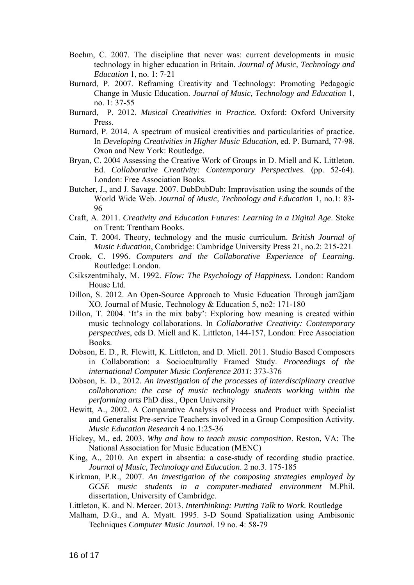- Boehm, C. 2007. The discipline that never was: current developments in music technology in higher education in Britain. *Journal of Music, Technology and Education* 1, no. 1: 7-21
- Burnard, P. 2007. Reframing Creativity and Technology: Promoting Pedagogic Change in Music Education. *Journal of Music, Technology and Education* 1, no. 1: 37-55
- Burnard, P. 2012. *Musical Creativities in Practice.* Oxford: Oxford University Press.
- Burnard, P. 2014. A spectrum of musical creativities and particularities of practice. In *Developing Creativities in Higher Music Education*, ed. P. Burnard, 77-98. Oxon and New York: Routledge.
- Bryan, C. 2004 Assessing the Creative Work of Groups in D. Miell and K. Littleton. Ed. *Collaborative Creativity: Contemporary Perspectives*. (pp. 52-64). London: Free Association Books.
- Butcher, J., and J. Savage. 2007. DubDubDub: Improvisation using the sounds of the World Wide Web. *Journal of Music, Technology and Education* 1, no.1: 83- 96
- Craft, A. 2011. *Creativity and Education Futures: Learning in a Digital Age*. Stoke on Trent: Trentham Books.
- Cain, T. 2004. Theory, technology and the music curriculum. *British Journal of Music Education*, Cambridge: Cambridge University Press 21, no.2: 215-221
- Crook, C. 1996. *Computers and the Collaborative Experience of Learning*. Routledge: London.
- Csikszentmihaly, M. 1992. *Flow: The Psychology of Happiness.* London: Random House Ltd.
- Dillon, S. 2012. An Open-Source Approach to Music Education Through jam2jam XO. Journal of Music, Technology & Education 5, no2: 171-180
- Dillon, T. 2004. 'It's in the mix baby': Exploring how meaning is created within music technology collaborations. In *Collaborative Creativity: Contemporary perspectives*, eds D. Miell and K. Littleton, 144-157, London: Free Association Books.
- Dobson, E. D., R. Flewitt, K. Littleton, and D. Miell. 2011. Studio Based Composers in Collaboration: a Socioculturally Framed Study. *Proceedings of the international Computer Music Conference 2011*: 373-376
- Dobson, E. D., 2012. *An investigation of the processes of interdisciplinary creative collaboration: the case of music technology students working within the performing arts* PhD diss., Open University
- Hewitt, A., 2002. A Comparative Analysis of Process and Product with Specialist and Generalist Pre-service Teachers involved in a Group Composition Activity. *Music Education Research* 4 no.1:25-36
- Hickey, M., ed. 2003. *Why and how to teach music composition*. Reston, VA: The National Association for Music Education (MENC)
- King, A., 2010. An expert in absentia: a case-study of recording studio practice. *Journal of Music, Technology and Education*. 2 no.3. 175-185
- Kirkman, P.R., 2007. *An investigation of the composing strategies employed by GCSE music students in a computer-mediated environment* M.Phil. dissertation, University of Cambridge.
- Littleton, K. and N. Mercer. 2013. *Interthinking: Putting Talk to Work.* Routledge
- Malham, D.G., and A. Myatt. 1995. 3-D Sound Spatialization using Ambisonic Techniques *Computer Music Journal*. 19 no. 4: 58-79